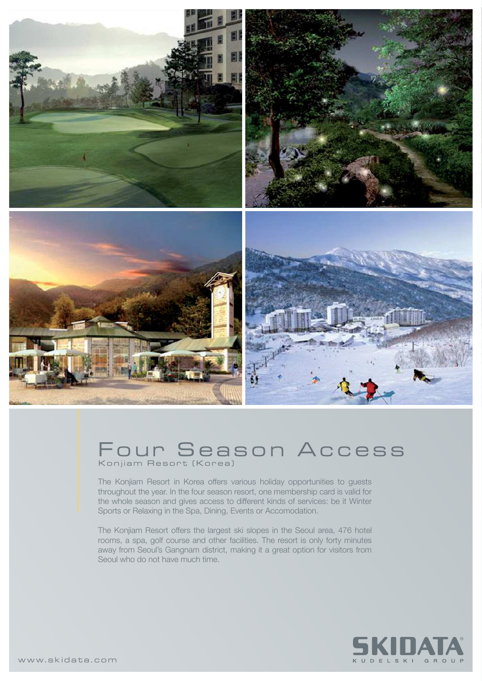

## Four Season Access Konjiam Resort (Korea)

The Konjiam Resort in Korea offers various holiday opportunities to guests throughout the year. In the four season resort, one membership card is valid for the whole season and gives access to different kinds of services: be it Winter Sports or Relaxing in the Spa, Dining, Events or Accomodation.

The Konjiam Resort offers the largest ski slopes in the Seoul area, 476 hotel rooms, a spa, golf course and other facilities. The resort is only forty minutes away from Seoul's Gangnam district, making it a great option for visitors from Seoul who do not have much time.